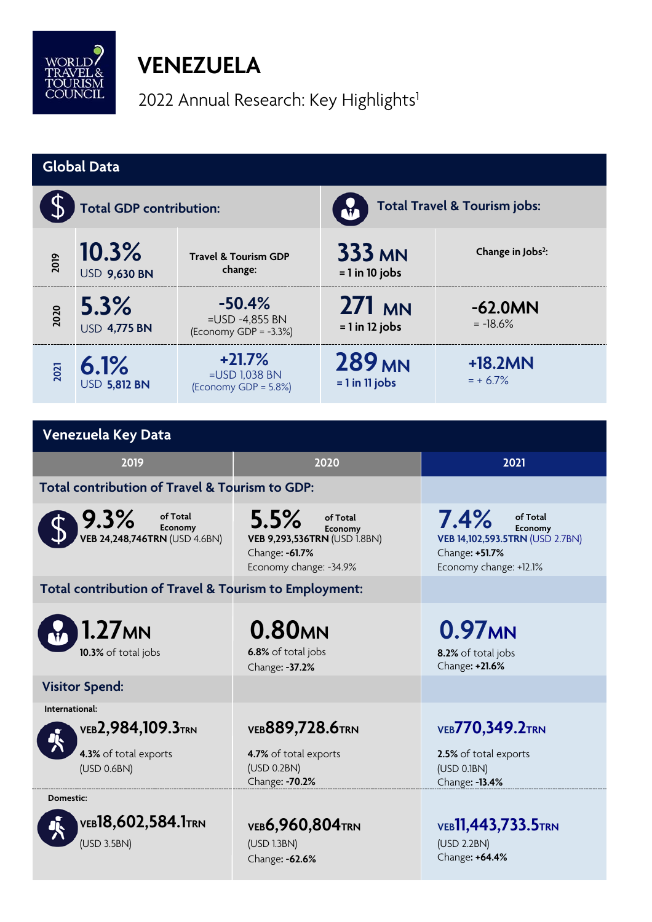

## **VENEZUELA**

2022 Annual Research: Key Highlights<sup>1</sup>

| <b>Global Data</b>                                    |                              |                                                           |                                                                                                         |                                                            |                                                                                                            |  |  |  |
|-------------------------------------------------------|------------------------------|-----------------------------------------------------------|---------------------------------------------------------------------------------------------------------|------------------------------------------------------------|------------------------------------------------------------------------------------------------------------|--|--|--|
| <b>Total GDP contribution:</b>                        |                              |                                                           |                                                                                                         | Total Travel & Tourism jobs:                               |                                                                                                            |  |  |  |
| 2019                                                  | 10.3%<br><b>USD 9,630 BN</b> |                                                           | <b>Travel &amp; Tourism GDP</b><br>change:                                                              | <b>333 MN</b><br>$= 1$ in 10 jobs                          | Change in Jobs <sup>2</sup> :                                                                              |  |  |  |
| 2020                                                  | 5.3%<br><b>USD 4,775 BN</b>  | $-50.4%$<br>$=$ USD -4,855 BN<br>(Economy GDP = $-3.3%$ ) |                                                                                                         | 271 MN<br>$= 1$ in 12 jobs                                 | $-62.0MN$<br>$= -18.6%$                                                                                    |  |  |  |
| 2021                                                  | 6.1%<br><b>USD 5,812 BN</b>  | $+21.7%$<br>=USD 1,038 BN<br>(Economy GDP = 5.8%)         |                                                                                                         | 289 <sub>MN</sub><br>$= 1$ in 11 jobs                      | $+18.2MN$<br>$= + 6.7\%$                                                                                   |  |  |  |
|                                                       |                              |                                                           |                                                                                                         |                                                            |                                                                                                            |  |  |  |
| Venezuela Key Data                                    |                              |                                                           |                                                                                                         |                                                            |                                                                                                            |  |  |  |
| 2019                                                  |                              |                                                           | 2020                                                                                                    |                                                            | 2021                                                                                                       |  |  |  |
| Total contribution of Travel & Tourism to GDP:        |                              |                                                           |                                                                                                         |                                                            |                                                                                                            |  |  |  |
| $9.3\%$ of Total<br>VEB 24,248,746TRN (USD 4.6BN)     |                              |                                                           | 5.5%<br>of Total<br>Economy<br>VEB 9,293,536TRN (USD 1.8BN)<br>Change: -61.7%<br>Economy change: -34.9% |                                                            | 7.4%<br>of Total<br>Economy<br>VEB 14,102,593.5TRN (USD 2.7BN)<br>Change: +51.7%<br>Economy change: +12.1% |  |  |  |
| Total contribution of Travel & Tourism to Employment: |                              |                                                           |                                                                                                         |                                                            |                                                                                                            |  |  |  |
| 1.27мн<br>10.3% of total jobs                         |                              |                                                           | 0.80 <sub>MN</sub><br>6.8% of total jobs<br>Change: -37.2%                                              |                                                            | 0.97 <sub>MN</sub><br>8.2% of total jobs<br>Change: +21.6%                                                 |  |  |  |
|                                                       | <b>Visitor Spend:</b>        |                                                           |                                                                                                         |                                                            |                                                                                                            |  |  |  |
| International:<br><b>VEB2,984,109.3TRN</b>            |                              |                                                           | <b>VEB889,728.6TRN</b>                                                                                  |                                                            | <b>VEB770,349.2TRN</b>                                                                                     |  |  |  |
| 4.3% of total exports<br>(USD 0.6BN)                  |                              |                                                           | 4.7% of total exports<br>(USD 0.2BN)<br>Change: - 70.2%                                                 |                                                            | 2.5% of total exports<br>(USD 0.1BN)<br>Change: - 13.4%                                                    |  |  |  |
| Domestic:<br><b>VEB18,602,584.1TRN</b><br>(USD 3.5BN) |                              | <b>VEB6,960,804TRN</b><br>(USD 1.3BN)<br>Change: -62.6%   |                                                                                                         | <b>VEB11,443,733.5TRN</b><br>(USD 2.2BN)<br>Change: +64.4% |                                                                                                            |  |  |  |